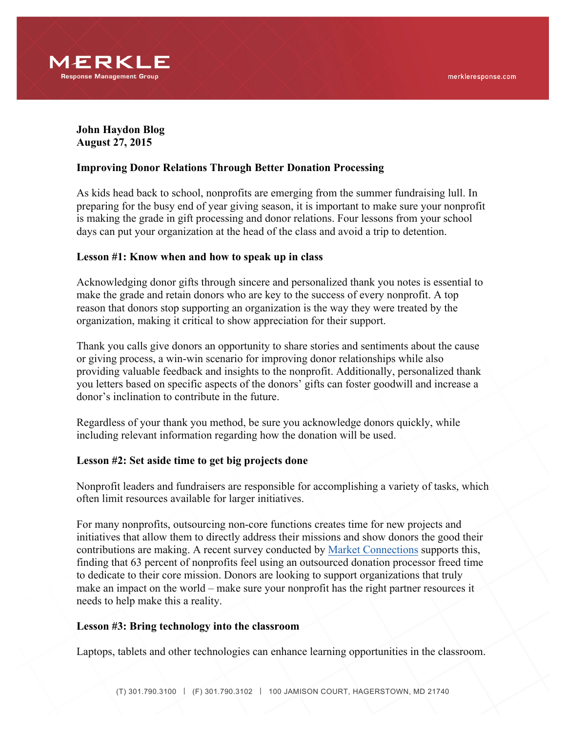

**John Haydon Blog August 27, 2015**

# **Improving Donor Relations Through Better Donation Processing**

As kids head back to school, nonprofits are emerging from the summer fundraising lull. In preparing for the busy end of year giving season, it is important to make sure your nonprofit is making the grade in gift processing and donor relations. Four lessons from your school days can put your organization at the head of the class and avoid a trip to detention.

### **Lesson #1: Know when and how to speak up in class**

Acknowledging donor gifts through sincere and personalized thank you notes is essential to make the grade and retain donors who are key to the success of every nonprofit. A top reason that donors stop supporting an organization is the way they were treated by the organization, making it critical to show appreciation for their support.

Thank you calls give donors an opportunity to share stories and sentiments about the cause or giving process, a win-win scenario for improving donor relationships while also providing valuable feedback and insights to the nonprofit. Additionally, personalized thank you letters based on specific aspects of the donors' gifts can foster goodwill and increase a donor's inclination to contribute in the future.

Regardless of your thank you method, be sure you acknowledge donors quickly, while including relevant information regarding how the donation will be used.

### **Lesson #2: Set aside time to get big projects done**

Nonprofit leaders and fundraisers are responsible for accomplishing a variety of tasks, which often limit resources available for larger initiatives.

For many nonprofits, outsourcing non-core functions creates time for new projects and initiatives that allow them to directly address their missions and show donors the good their contributions are making. A recent survey conducted by Market Connections supports this, finding that 63 percent of nonprofits feel using an outsourced donation processor freed time to dedicate to their core mission. Donors are looking to support organizations that truly make an impact on the world – make sure your nonprofit has the right partner resources it needs to help make this a reality.

### **Lesson #3: Bring technology into the classroom**

Laptops, tablets and other technologies can enhance learning opportunities in the classroom.